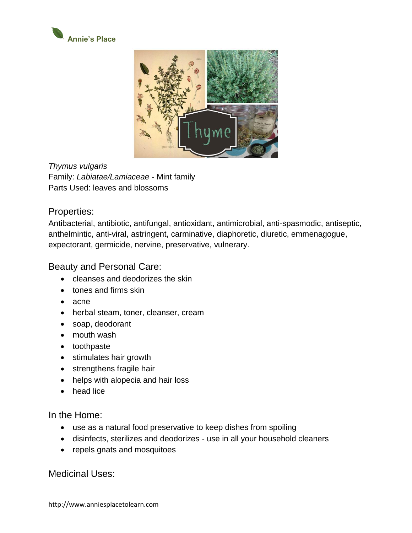



*Thymus vulgaris* Family: *Labiatae/Lamiaceae* - Mint family Parts Used: leaves and blossoms

## Properties:

Antibacterial, antibiotic, antifungal, antioxidant, antimicrobial, anti-spasmodic, antiseptic, anthelmintic, anti-viral, astringent, carminative, diaphoretic, diuretic, emmenagogue, expectorant, germicide, nervine, preservative, vulnerary.

## Beauty and Personal Care:

- cleanses and deodorizes the skin
- tones and firms skin
- acne
- herbal steam, toner, cleanser, cream
- soap, deodorant
- mouth wash
- toothpaste
- stimulates hair growth
- strengthens fragile hair
- helps with alopecia and hair loss
- head lice

In the Home:

- use as a natural food preservative to keep dishes from spoiling
- disinfects, sterilizes and deodorizes use in all your household cleaners
- repels gnats and mosquitoes

Medicinal Uses: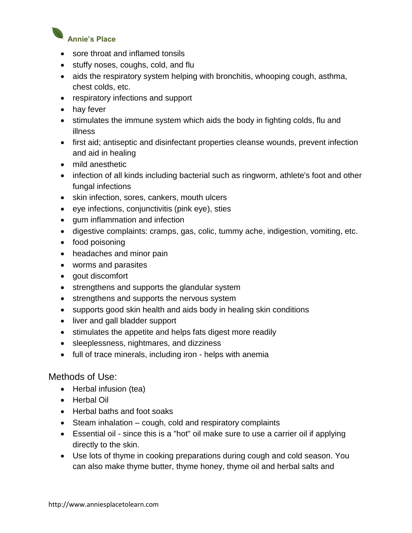

- sore throat and inflamed tonsils
- stuffy noses, coughs, cold, and flu
- aids the respiratory system helping with bronchitis, whooping cough, asthma, chest colds, etc.
- respiratory infections and support
- hay fever
- stimulates the immune system which aids the body in fighting colds, flu and illness
- first aid; antiseptic and disinfectant properties cleanse wounds, prevent infection and aid in healing
- mild anesthetic
- infection of all kinds including bacterial such as ringworm, athlete's foot and other fungal infections
- skin infection, sores, cankers, mouth ulcers
- eye infections, conjunctivitis (pink eye), sties
- gum inflammation and infection
- digestive complaints: cramps, gas, colic, tummy ache, indigestion, vomiting, etc.
- food poisoning
- headaches and minor pain
- worms and parasites
- gout discomfort
- strengthens and supports the glandular system
- strengthens and supports the nervous system
- supports good skin health and aids body in healing skin conditions
- liver and gall bladder support
- stimulates the appetite and helps fats digest more readily
- sleeplessness, nightmares, and dizziness
- full of trace minerals, including iron helps with anemia

## Methods of Use:

- Herbal infusion (tea)
- Herbal Oil
- Herbal baths and foot soaks
- Steam inhalation cough, cold and respiratory complaints
- [Essential oil](http://weebly-link/957438369462421272) since this is a "hot" oil make sure to use a carrier oil if applying directly to the skin.
- Use lots of thyme in cooking preparations during cough and cold season. You can also make thyme butter, thyme honey, thyme oil and herbal salts and